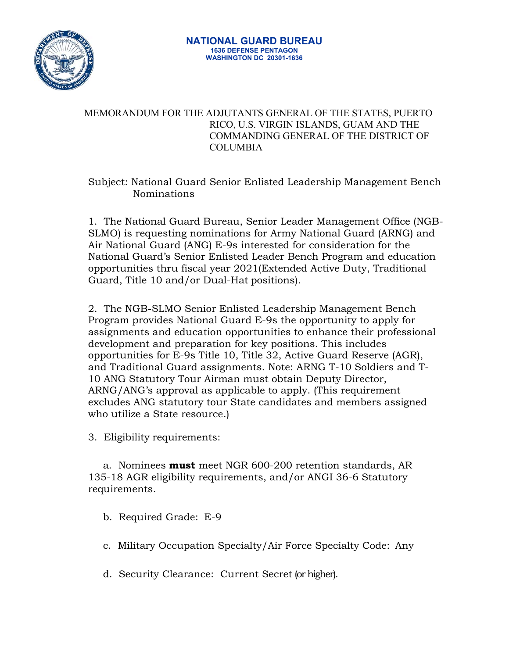

## MEMORANDUM FOR THE ADJUTANTS GENERAL OF THE STATES, PUERTO RICO, U.S. VIRGIN ISLANDS, GUAM AND THE COMMANDING GENERAL OF THE DISTRICT OF **COLUMBIA**

## Subject: National Guard Senior Enlisted Leadership Management Bench Nominations

1. The National Guard Bureau, Senior Leader Management Office (NGB-SLMO) is requesting nominations for Army National Guard (ARNG) and Air National Guard (ANG) E-9s interested for consideration for the National Guard's Senior Enlisted Leader Bench Program and education opportunities thru fiscal year 2021(Extended Active Duty, Traditional Guard, Title 10 and/or Dual-Hat positions).

2. The NGB-SLMO Senior Enlisted Leadership Management Bench Program provides National Guard E-9s the opportunity to apply for assignments and education opportunities to enhance their professional development and preparation for key positions. This includes opportunities for E-9s Title 10, Title 32, Active Guard Reserve (AGR), and Traditional Guard assignments. Note: ARNG T-10 Soldiers and T-10 ANG Statutory Tour Airman must obtain Deputy Director, ARNG/ANG's approval as applicable to apply. (This requirement excludes ANG statutory tour State candidates and members assigned who utilize a State resource.)

3. Eligibility requirements:

a. Nominees **must** meet NGR 600-200 retention standards, AR 135-18 AGR eligibility requirements, and/or ANGI 36-6 Statutory requirements.

- b. Required Grade: E-9
- c. Military Occupation Specialty/Air Force Specialty Code: Any
- d. Security Clearance: Current Secret (or higher).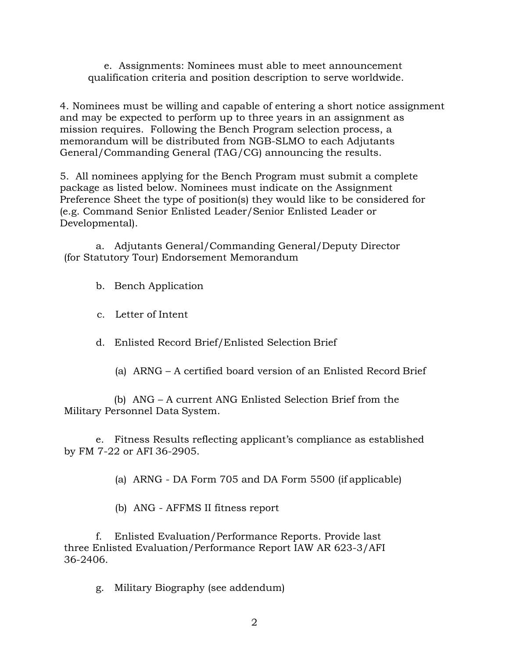e. Assignments: Nominees must able to meet announcement qualification criteria and position description to serve worldwide.

4. Nominees must be willing and capable of entering a short notice assignment and may be expected to perform up to three years in an assignment as mission requires. Following the Bench Program selection process, a memorandum will be distributed from NGB-SLMO to each Adjutants General/Commanding General (TAG/CG) announcing the results.

5. All nominees applying for the Bench Program must submit a complete package as listed below. Nominees must indicate on the Assignment Preference Sheet the type of position(s) they would like to be considered for (e.g. Command Senior Enlisted Leader/Senior Enlisted Leader or Developmental).

a. Adjutants General/Commanding General/Deputy Director (for Statutory Tour) Endorsement Memorandum

b. Bench Application

c. Letter of Intent

d. Enlisted Record Brief/Enlisted Selection Brief

(a) ARNG – A certified board version of an Enlisted Record Brief

(b) ANG – A current ANG Enlisted Selection Brief from the Military Personnel Data System.

e. Fitness Results reflecting applicant's compliance as established by FM 7-22 or AFI 36-2905.

(a) ARNG - DA Form 705 and DA Form 5500 (if applicable)

(b) ANG - AFFMS II fitness report

f. Enlisted Evaluation/Performance Reports. Provide last three Enlisted Evaluation/Performance Report IAW AR 623-3/AFI 36-2406.

g. Military Biography (see addendum)